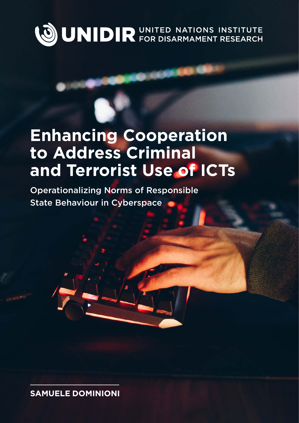

# **Enhancing Cooperation to Address Criminal and Terrorist Use of ICTs**

Operationalizing Norms of Responsible State Behaviour in Cyberspace

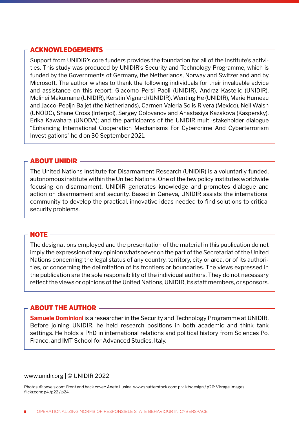#### ACKNOWLEDGEMENTS

Support from UNIDIR's core funders provides the foundation for all of the Institute's activities. This study was produced by UNIDIR's Security and Technology Programme, which is funded by the Governments of Germany, the Netherlands, Norway and Switzerland and by Microsoft. The author wishes to thank the following individuals for their invaluable advice and assistance on this report: Giacomo Persi Paoli (UNIDIR), Andraz Kastelic (UNIDIR), Molihei Makumane (UNIDIR), Kerstin Vignard (UNIDIR), Wenting He (UNIDIR), Marie Humeau and Jacco-Pepijn Baljet (the Netherlands), Carmen Valeria Solis Rivera (Mexico), Neil Walsh (UNODC), Shane Cross (Interpol), Sergey Golovanov and Anastasiya Kazakova (Kaspersky), Erika Kawahara (UNODA); and the participants of the UNIDIR multi-stakeholder dialogue "Enhancing International Cooperation Mechanisms For Cybercrime And Cyberterrorism Investigations" held on 30 September 2021.

#### ABOUT UNIDIR

The United Nations Institute for Disarmament Research (UNIDIR) is a voluntarily funded, autonomous institute within the United Nations. One of the few policy institutes worldwide focusing on disarmament, UNIDIR generates knowledge and promotes dialogue and action on disarmament and security. Based in Geneva, UNIDIR assists the international community to develop the practical, innovative ideas needed to find solutions to critical security problems.

#### NOTE

The designations employed and the presentation of the material in this publication do not imply the expression of any opinion whatsoever on the part of the Secretariat of the United Nations concerning the legal status of any country, territory, city or area, or of its authorities, or concerning the delimitation of its frontiers or boundaries. The views expressed in the publication are the sole responsibility of the individual authors. They do not necessary reflect the views or opinions of the United Nations, UNIDIR, its staff members, or sponsors.

#### ABOUT THE AUTHOR

**Samuele Dominioni** is a researcher in the Security and Technology Programme at UNIDIR. Before joining UNIDIR, he held research positions in both academic and think tank settings. He holds a PhD in international relations and political history from Sciences Po, France, and IMT School for Advanced Studies, Italy.

#### [www.unidir.org | © UNIDIR 2](www.unidir.org)022

Photos: © pexels.com: Front and back cover: Anete Lusina. www.shutterstock.com: piv: ktsdesign / p26: Virrage Images. flickr.com: p4 /p22 / p24.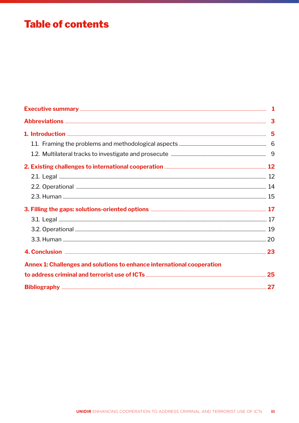### **Table of contents**

| Annex 1: Challenges and solutions to enhance international cooperation |  |
|------------------------------------------------------------------------|--|
|                                                                        |  |
|                                                                        |  |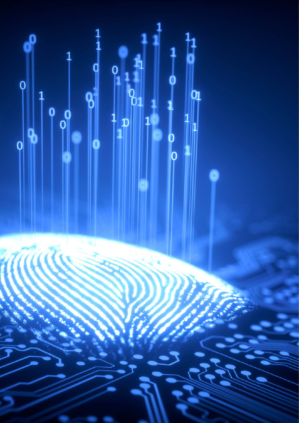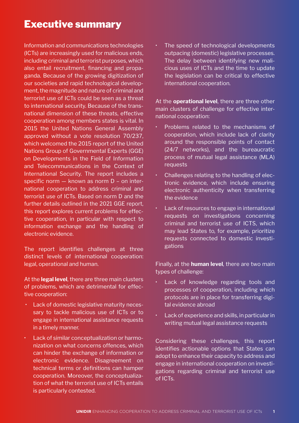### Executive summary

Information and communications technologies (ICTs) are increasingly used for malicious ends, including criminal and terrorist purposes, which also entail recruitment, financing and propaganda. Because of the growing digitization of our societies and rapid technological development, the magnitude and nature of criminal and terrorist use of ICTs could be seen as a threat to international security. Because of the transnational dimension of these threats, effective cooperation among members states is vital. In 2015 the United Nations General Assembly approved without a vote resolution 70/237, which welcomed the 2015 report of the United Nations Group of Governmental Experts (GGE) on Developments in the Field of Information and Telecommunications in the Context of International Security. The report includes a specific norm — known as norm D – on international cooperation to address criminal and terrorist use of ICTs. Based on norm D and the further details outlined in the 2021 GGE report, this report explores current problems for effective cooperation, in particular with respect to information exchange and the handling of electronic evidence.

The report identifies challenges at three distinct levels of international cooperation: legal, operational and human.

At the **legal level**, there are three main clusters of problems, which are detrimental for effective cooperation:

- Lack of domestic legislative maturity necessary to tackle malicious use of ICTs or to engage in international assistance requests in a timely manner.
- Lack of similar conceptualization or harmonization on what concerns offences, which can hinder the exchange of information or electronic evidence. Disagreement on technical terms or definitions can hamper cooperation. Moreover, the conceptualization of what the terrorist use of ICTs entails is particularly contested.

The speed of technological developments outpacing (domestic) legislative processes. The delay between identifying new malicious uses of ICTs and the time to update the legislation can be critical to effective international cooperation.

At the **operational level**, there are three other main clusters of challenge for effective international cooperation:

- Problems related to the mechanisms of cooperation, which include lack of clarity around the responsible points of contact (24/7 networks), and the bureaucratic process of mutual legal assistance (MLA) requests
- Challenges relating to the handling of electronic evidence, which include ensuring electronic authenticity when transferring the evidence
- Lack of resources to engage in international requests on investigations concerning criminal and terrorist use of ICTS, which may lead States to, for example, prioritize requests connected to domestic investigations

Finally, at the **human level**, there are two main types of challenge:

- Lack of knowledge regarding tools and processes of cooperation, including which protocols are in place for transferring digital evidence abroad
- Lack of experience and skills, in particular in writing mutual legal assistance requests

Considering these challenges, this report identifies actionable options that States can adopt to enhance their capacity to address and engage in international cooperation on investigations regarding criminal and terrorist use of ICTs.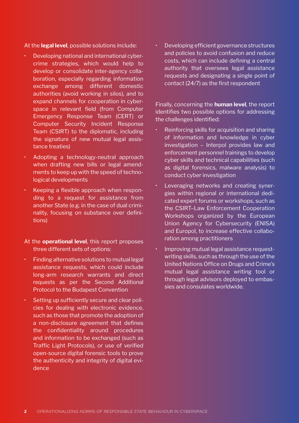At the **legal level**, possible solutions include:

- Developing national and international cybercrime strategies, which would help to develop or consolidate inter-agency collaboration, especially regarding information exchange among different domestic authorities (avoid working in silos), and to expand channels for cooperation in cyberspace in relevant field (from Computer Emergency Response Team (CERT) or Computer Security Incident Response Team (CSIRT) to the diplomatic, including the signature of new mutual legal assistance treaties)
- Adopting a technology-neutral approach when drafting new bills or legal amendments to keep up with the speed of technological developments
- Keeping a flexible approach when responding to a request for assistance from another State (e.g. in the case of dual criminality, focusing on substance over definitions)
- At the **operational level**, this report proposes three different sets of options:
- Finding alternative solutions to mutual legal assistance requests, which could include long-arm research warrants and direct requests as per the Second Additional Protocol to the Budapest Convention
- Setting up sufficiently secure and clear policies for dealing with electronic evidence, such as those that promote the adoption of a non-disclosure agreement that defines the confidentiality around procedures and information to be exchanged (such as Traffic Light Protocols), or use of verified open-source digital forensic tools to prove the authenticity and integrity of digital evidence

• Developing efficient governance structures and policies to avoid confusion and reduce costs, which can include defining a central authority that oversees legal assistance requests and designating a single point of contact (24/7) as the first respondent

Finally, concerning the **human level**, the report identifies two possible options for addressing the challenges identified:

- Reinforcing skills for acquisition and sharing of information and knowledge in cyber investigation – Interpol provides law and enforcement personnel trainings to develop cyber skills and technical capabilities (such as digital forensics, malware analysis) to conduct cyber investigation
- Leveraging networks and creating synergies within regional or international dedicated expert forums or workshops, such as the CSIRT–Law Enforcement Cooperation Workshops organized by the European Union Agency for Cybersecurity (ENISA) and Europol, to increase effective collaboration among practitioners
- Improving mutual legal assistance requestwriting skills, such as through the use of the United Nations Office on Drugs and Crime's mutual legal assistance writing tool or through legal advisors deployed to embassies and consulates worldwide.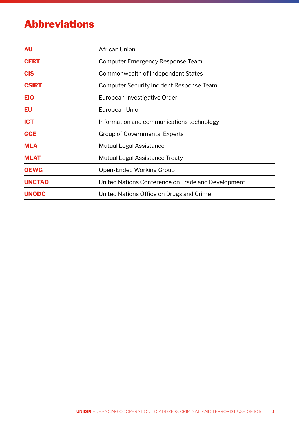### Abbreviations

| <b>AU</b>     | <b>African Union</b>                               |  |  |  |  |  |
|---------------|----------------------------------------------------|--|--|--|--|--|
| <b>CERT</b>   | Computer Emergency Response Team                   |  |  |  |  |  |
| <b>CIS</b>    | Commonwealth of Independent States                 |  |  |  |  |  |
| <b>CSIRT</b>  | <b>Computer Security Incident Response Team</b>    |  |  |  |  |  |
| <b>EIO</b>    | European Investigative Order                       |  |  |  |  |  |
| EU            | European Union                                     |  |  |  |  |  |
| <b>ICT</b>    | Information and communications technology          |  |  |  |  |  |
| <b>GGE</b>    | <b>Group of Governmental Experts</b>               |  |  |  |  |  |
| <b>MLA</b>    | <b>Mutual Legal Assistance</b>                     |  |  |  |  |  |
| <b>MLAT</b>   | Mutual Legal Assistance Treaty                     |  |  |  |  |  |
| <b>OEWG</b>   | Open-Ended Working Group                           |  |  |  |  |  |
| <b>UNCTAD</b> | United Nations Conference on Trade and Development |  |  |  |  |  |
| <b>UNODC</b>  | United Nations Office on Drugs and Crime           |  |  |  |  |  |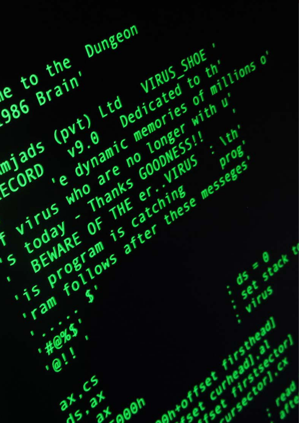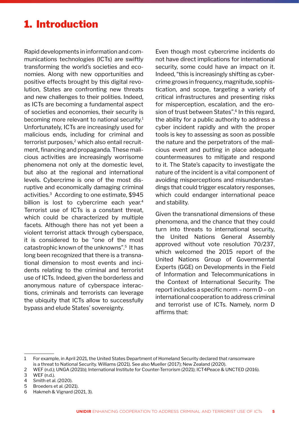### 1. Introduction

Rapid developments in information and communications technologies (ICTs) are swiftly transforming the world's societies and economies. Along with new opportunities and positive effects brought by this digital revolution, States are confronting new threats and new challenges to their polities. Indeed, as ICTs are becoming a fundamental aspect of societies and economies, their security is becoming more relevant to national security.<sup>1</sup> Unfortunately, ICTs are increasingly used for malicious ends, including for criminal and terrorist purposes,<sup>2</sup> which also entail recruitment, financing and propaganda. These malicious activities are increasingly worrisome phenomena not only at the domestic level, but also at the regional and international levels. Cybercrime is one of the most disruptive and economically damaging criminal activities.3 According to one estimate, \$945 billion is lost to cybercrime each year.<sup>4</sup> Terrorist use of ICTs is a constant threat, which could be characterized by multiple facets. Although there has not yet been a violent terrorist attack through cyberspace, it is considered to be "one of the most catastrophic known of the unknowns".5 It has long been recognized that there is a transnational dimension to most events and incidents relating to the criminal and terrorist use of ICTs. Indeed, given the borderless and anonymous nature of cyberspace interactions, criminals and terrorists can leverage the ubiquity that ICTs allow to successfully bypass and elude States' sovereignty.

Even though most cybercrime incidents do not have direct implications for international security, some could have an impact on it. Indeed, "this is increasingly shifting as cybercrime grows in frequency, magnitude, sophistication, and scope, targeting a variety of critical infrastructures and presenting risks for misperception, escalation, and the erosion of trust between States".<sup>6</sup> In this regard, the ability for a public authority to address a cyber incident rapidly and with the proper tools is key to assessing as soon as possible the nature and the perpetrators of the malicious event and putting in place adequate countermeasures to mitigate and respond to it. The State's capacity to investigate the nature of the incident is a vital component of avoiding misperceptions and misunderstandings that could trigger escalatory responses, which could endanger international peace and stability.

Given the transnational dimensions of these phenomena, and the chance that they could turn into threats to international security, the United Nations General Assembly approved without vote resolution 70/237, which welcomed the 2015 report of the United Nations Group of Governmental Experts (GGE) on Developments in the Field of Information and Telecommunications in the Context of International Security. The report includes a specific norm – norm D – on international cooperation to address criminal and terrorist use of ICTs. Namely, norm D affirms that:

<sup>1</sup> For example, in April 2021, the United States Department of Homeland Security declared that ransomware is a threat to National Security. Williams (2021). See also Mueller (2017); New Zealand (2020).

<sup>2</sup> WEF (n.d.); UNGA (2021b); International Institute for Counter-Terrorism (2021); ICT4Peace & UNCTED (2016).

<sup>3</sup> WEF (n.d.).

<sup>4</sup> Smith et al. (2020).

<sup>5</sup> Broeders et al. (2021).

<sup>6</sup> Hakmeh & Vignard (2021, 3).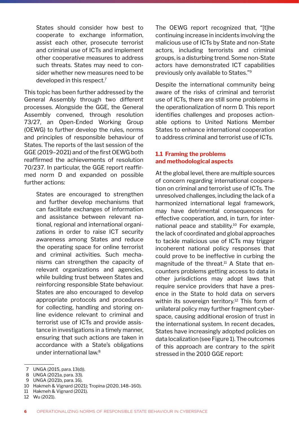States should consider how best to cooperate to exchange information, assist each other, prosecute terrorist and criminal use of ICTs and implement other cooperative measures to address such threats. States may need to consider whether new measures need to be developed in this respect.7

This topic has been further addressed by the General Assembly through two different processes. Alongside the GGE, the General Assembly convened, through resolution 73/27, an Open-Ended Working Group (OEWG) to further develop the rules, norms and principles of responsible behaviour of States. The reports of the last session of the GGE (2019–2021) and of the first OEWG both reaffirmed the achievements of resolution 70/237. In particular, the GGE report reaffirmed norm D and expanded on possible further actions:

States are encouraged to strengthen and further develop mechanisms that can facilitate exchanges of information and assistance between relevant national, regional and international organizations in order to raise ICT security awareness among States and reduce the operating space for online terrorist and criminal activities. Such mechanisms can strengthen the capacity of relevant organizations and agencies, while building trust between States and reinforcing responsible State behaviour. States are also encouraged to develop appropriate protocols and procedures for collecting, handling and storing online evidence relevant to criminal and terrorist use of ICTs and provide assistance in investigations in a timely manner, ensuring that such actions are taken in accordance with a State's obligations under international law.8

The OEWG report recognized that, "[t]he continuing increase in incidents involving the malicious use of ICTs by State and non-State actors, including terrorists and criminal groups, is a disturbing trend. Some non-State actors have demonstrated ICT capabilities previously only available to States."9

Despite the international community being aware of the risks of criminal and terrorist use of ICTs, there are still some problems in the operationalization of norm D. This report identifies challenges and proposes actionable options to United Nations Member States to enhance international cooperation to address criminal and terrorist use of ICTs.

#### **1.1 Framing the problems and methodological aspects**

At the global level, there are multiple sources of concern regarding international cooperation on criminal and terrorist use of ICTs. The unresolved challenges, including the lack of a harmonized international legal framework, may have detrimental consequences for effective cooperation, and, in turn, for international peace and stability.<sup>10</sup> For example, the lack of coordinated and global approaches to tackle malicious use of ICTs may trigger incoherent national policy responses that could prove to be ineffective in curbing the magnitude of the threat.<sup>11</sup> A State that encounters problems getting access to data in other jurisdictions may adopt laws that require service providers that have a presence in the State to hold data on servers within its sovereign territory.<sup>12</sup> This form of unilateral policy may further fragment cyberspace, causing additional erosion of trust in the international system. In recent decades, States have increasingly adopted policies on data localization (see Figure 1). The outcomes of this approach are contrary to the spirit stressed in the 2010 GGE report:

12 Wu (2021).

 <sup>7</sup> UNGA (2015, para. 13(d)).

 <sup>8</sup> UNGA (2021a, para. 33).

 <sup>9</sup> UNGA (2021b, para. 16).

<sup>10</sup> Hakmeh & Vignard (2021); Tropina (2020, 148–160).

<sup>11</sup> Hakmeh & Vignard (2021).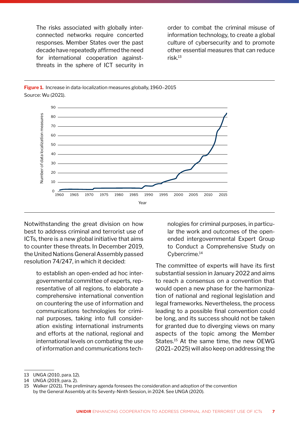The risks associated with globally interconnected networks require concerted responses. Member States over the past decade have repeatedly affirmed the need for international cooperation againstthreats in the sphere of ICT security in

order to combat the criminal misuse of information technology, to create a global culture of cybersecurity and to promote other essential measures that can reduce risk.13



**Figure 1.** Increase in data-localization measures globally, 1960–2015 Source: Wu (2021).

Notwithstanding the great division on how best to address criminal and terrorist use of ICTs, there is a new global initiative that aims to counter these threats. In December 2019, the United Nations General Assembly passed resolution 74/247, in which it decided:

to establish an open-ended ad hoc intergovernmental committee of experts, representative of all regions, to elaborate a comprehensive international convention on countering the use of information and communications technologies for criminal purposes, taking into full consideration existing international instruments and efforts at the national, regional and international levels on combating the use of information and communications technologies for criminal purposes, in particular the work and outcomes of the openended intergovernmental Expert Group to Conduct a Comprehensive Study on Cybercrime.14

The committee of experts will have its first substantial session in January 2022 and aims to reach a consensus on a convention that would open a new phase for the harmonization of national and regional legislation and legal frameworks. Nevertheless, the process leading to a possible final convention could be long, and its success should not be taken for granted due to diverging views on many aspects of the topic among the Member States.<sup>15</sup> At the same time, the new OEWG (2021–2025) will also keep on addressing the

<sup>13</sup> UNGA (2010, para. 12).

<sup>14</sup> UNGA (2019, para. 2).

<sup>15</sup> Walker (2021). The preliminary agenda foresees the consideration and adoption of the convention by the General Assembly at its Seventy-Ninth Session, in 2024. See UNGA (2020).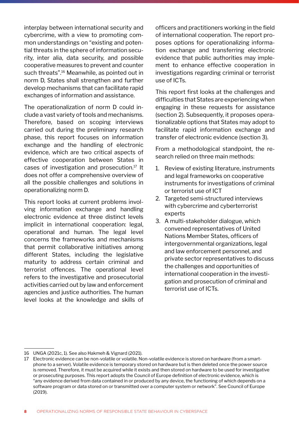interplay between international security and cybercrime, with a view to promoting common understandings on "existing and potential threats in the sphere of information security, inter alia, data security, and possible cooperative measures to prevent and counter such threats".16 Meanwhile, as pointed out in norm D, States shall strengthen and further develop mechanisms that can facilitate rapid exchanges of information and assistance.

The operationalization of norm D could include a vast variety of tools and mechanisms. Therefore, based on scoping interviews carried out during the preliminary research phase, this report focuses on information exchange and the handling of electronic evidence, which are two critical aspects of effective cooperation between States in cases of investigation and prosecution.17 It does not offer a comprehensive overview of all the possible challenges and solutions in operationalizing norm D.

This report looks at current problems involving information exchange and handling electronic evidence at three distinct levels implicit in international cooperation: legal, operational and human. The legal level concerns the frameworks and mechanisms that permit collaborative initiatives among different States, including the legislative maturity to address certain criminal and terrorist offences. The operational level refers to the investigative and prosecutorial activities carried out by law and enforcement agencies and justice authorities. The human level looks at the knowledge and skills of officers and practitioners working in the field of international cooperation. The report proposes options for operationalizing information exchange and transferring electronic evidence that public authorities may implement to enhance effective cooperation in investigations regarding criminal or terrorist use of ICTs.

This report first looks at the challenges and difficulties that States are experiencing when engaging in these requests for assistance (section 2). Subsequently, it proposes operationalizable options that States may adopt to facilitate rapid information exchange and transfer of electronic evidence (section 3).

From a methodological standpoint, the research relied on three main methods:

- 1. Review of existing literature, instruments and legal frameworks on cooperative instruments for investigations of criminal or terrorist use of ICT
- 2. Targeted semi-structured interviews with cybercrime and cyberterrorist experts
- 3. A multi-stakeholder dialogue, which convened representatives of United Nations Member States, officers of intergovernmental organizations, legal and law enforcement personnel, and private sector representatives to discuss the challenges and opportunities of international cooperation in the investigation and prosecution of criminal and terrorist use of ICTs.

<sup>16</sup> UNGA (2021c, 1). See also Hakmeh & Vignard (2021).

<sup>17</sup> Electronic evidence can be non-volatile or volatile. Non-volatile evidence is stored on hardware (from a smartphone to a server). Volatile evidence is temporary stored on hardware but is then deleted once the power source is removed. Therefore, it must be acquired while it exists and then stored on hardware to be used for investigative or prosecuting purposes. This report adopts the Council of Europe definition of electronic evidence, which is "any evidence derived from data contained in or produced by any device, the functioning of which depends on a software program or data stored on or transmitted over a computer system or network". See Council of Europe (2019).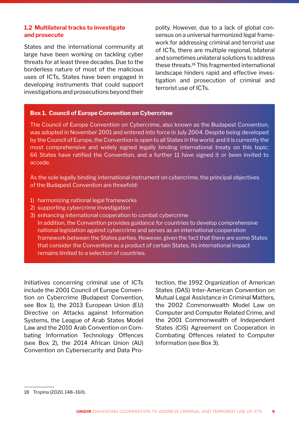#### **1.2 Multilateral tracks to investigate and prosecute**

States and the international community at large have been working on tackling cyber threats for at least three decades. Due to the borderless nature of most of the malicious uses of ICTs, States have been engaged in developing instruments that could support investigations and prosecutions beyond their

polity. However, due to a lack of global consensus on a universal harmonized legal framework for addressing criminal and terrorist use of ICTs, there are multiple regional, bilateral and sometimes unilateral solutions to address these threats.18 This fragmented international landscape hinders rapid and effective investigation and prosecution of criminal and terrorist use of ICTs.

#### **Box 1. Council of Europe Convention on Cybercrime**

The Council of Europe Convention on Cybercrime, also known as the Budapest Convention, was adopted in November 2001 and entered into force in July 2004. Despite being developed by the Council of Europe, the Convention is open to all States in the world, and it is currently the most comprehensive and widely signed legally binding international treaty on this topic: 66 States have ratified the Convention, and a further 11 have signed it or been invited to accede.

As the sole legally binding international instrument on cybercrime, the principal objectives of the Budapest Convention are threefold:

- 1) harmonizing national legal frameworks
- 2) supporting cybercrime investigation
- 3) enhancing international cooperation to combat cybercrime In addition, the Convention provides guidance for countries to develop comprehensive national legislation against cybercrime and serves as an international cooperation framework between the States parties. However, given the fact that there are some States that consider the Convention as a product of certain States, its international impact remains limited to a selection of countries.

Initiatives concerning criminal use of ICTs include the 2001 Council of Europe Convention on Cybercrime (Budapest Convention, see Box 1), the 2013 European Union (EU) Directive on Attacks against Information Systems, the League of Arab States Model Law and the 2010 Arab Convention on Combating Information Technology Offences (see Box 2), the 2014 African Union (AU) Convention on Cybersecurity and Data Protection, the 1992 Organization of American States (OAS) Inter-American Convention on Mutual Legal Assistance in Criminal Matters, the 2002 Commonwealth Model Law on Computer and Computer Related Crime, and the 2001 Commonwealth of Independent States (CIS) Agreement on Cooperation in Combating Offences related to Computer Information (see Box 3).

<sup>18</sup> Tropina (2020, 148–160).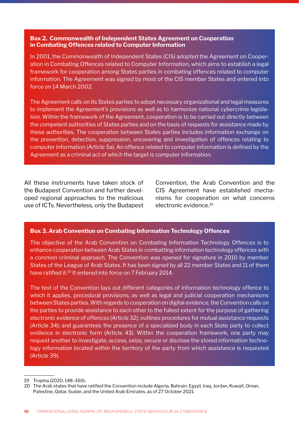#### **Box 2. Commonwealth of Independent States Agreement on Cooperation in Combating Offences related to Computer Information**

In 2001, the Commonwealth of Independent States (CIS) adopted the Agreement on Cooperation in Combating Offences related to Computer Information, which aims to establish a legal framework for cooperation among States parties in combating offences related to computer information. The Agreement was signed by most of the CIS member States and entered into force on 14 March 2002.

The Agreement calls on its States parties to adopt necessary organizational and legal measures to implement the Agreement's provisions as well as to harmonize national cybercrime legislation. Within the framework of the Agreement, cooperation is to be carried out directly between the competent authorities of States parties and on the basis of requests for assistance made by these authorities. The cooperation between States parties includes information exchange on the prevention, detection, suppression, uncovering and investigation of offences relating to computer information (Article 5a). An offence related to computer information is defined by the Agreement as a criminal act of which the target is computer information.

All these instruments have taken stock of the Budapest Convention and further developed regional approaches to the malicious use of ICTs. Nevertheless, only the Budapest Convention, the Arab Convention and the CIS Agreement have established mechanisms for cooperation on what concerns electronic evidence.19

#### **Box 3. Arab Convention on Combating Information Technology Offences**

The objective of the Arab Convention on Combating Information Technology Offences is to enhance cooperation between Arab States in combatting information technology offences with a common criminal approach. The Convention was opened for signature in 2010 by member States of the League of Arab States. It has been signed by all 22 member States and 11 of them have ratified it.<sup>20</sup> It entered into force on 7 February 2014.

(Article 34); and guarantees the presence of a specialized body in each State party to collect The text of the Convention lays out different categories of information technology offence to which it applies, procedural provisions, as well as legal and judicial cooperation mechanisms between States parties. With regards to cooperation on digital evidence, the Convention calls on the parties to provide assistance to each other to the fullest extent for the purpose of gathering electronic evidence of offences (Article 32); outlines procedures for mutual assistance requests evidence in electronic form (Article 43). Within the cooperation framework, one party may request another to investigate, access, seize, secure or disclose the stored information technology information located within the territory of the party from which assistance is requested (Article 39).

<sup>19</sup> Tropina (2020, 148–160).

<sup>20</sup> The Arab states that have ratified the Convention include Algeria, Bahrain, Egypt, Iraq, Jordan, Kuwait, Oman, Palestine, Qatar, Sudan, and the United Arab Emirates, as of 27 October 2021.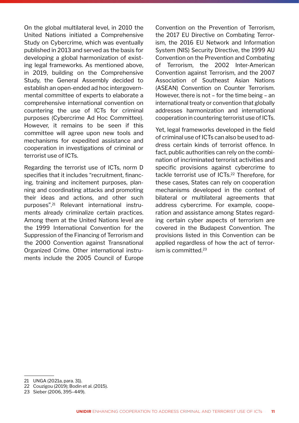On the global multilateral level, in 2010 the United Nations initiated a Comprehensive Study on Cybercrime, which was eventually published in 2013 and served as the basis for developing a global harmonization of existing legal frameworks. As mentioned above, in 2019, building on the Comprehensive Study, the General Assembly decided to establish an open-ended ad hoc intergovernmental committee of experts to elaborate a comprehensive international convention on countering the use of ICTs for criminal purposes (Cybercrime Ad Hoc Committee). However, it remains to be seen if this committee will agree upon new tools and mechanisms for expedited assistance and cooperation in investigations of criminal or terrorist use of ICTs.

Regarding the terrorist use of ICTs, norm D specifies that it includes "recruitment, financing, training and incitement purposes, planning and coordinating attacks and promoting their ideas and actions, and other such purposes".21 Relevant international instruments already criminalize certain practices. Among them at the United Nations level are the 1999 International Convention for the Suppression of the Financing of Terrorism and the 2000 Convention against Transnational Organized Crime. Other international instruments include the 2005 Council of Europe Convention on the Prevention of Terrorism, the 2017 EU Directive on Combating Terrorism, the 2016 EU Network and Information System (NIS) Security Directive, the 1999 AU Convention on the Prevention and Combating of Terrorism, the 2002 Inter-American Convention against Terrorism, and the 2007 Association of Southeast Asian Nations (ASEAN) Convention on Counter Terrorism. However, there is not – for the time being – an international treaty or convention that globally addresses harmonization and international cooperation in countering terrorist use of ICTs.

Yet, legal frameworks developed in the field of criminal use of ICTs can also be used to address certain kinds of terrorist offence. In fact, public authorities can rely on the combination of incriminated terrorist activities and specific provisions against cybercrime to tackle terrorist use of ICTs.<sup>22</sup> Therefore, for these cases, States can rely on cooperation mechanisms developed in the context of bilateral or multilateral agreements that address cybercrime. For example, cooperation and assistance among States regarding certain cyber aspects of terrorism are covered in the Budapest Convention. The provisions listed in this Convention can be applied regardless of how the act of terrorism is committed.<sup>23</sup>

<sup>21</sup> UNGA (2021a, para. 31).

<sup>22</sup> Couzigou (2019); Bodin et al. (2015).

<sup>23</sup> Sieber (2006, 395–449).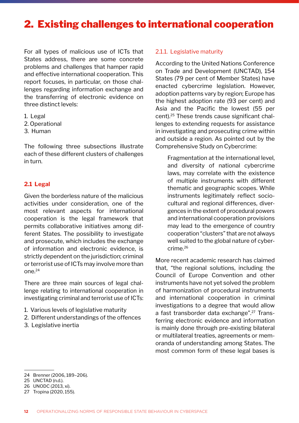### 2. Existing challenges to international cooperation

For all types of malicious use of ICTs that States address, there are some concrete problems and challenges that hamper rapid and effective international cooperation. This report focuses, in particular, on those challenges regarding information exchange and the transferring of electronic evidence on three distinct levels:

- 1. Legal
- 2. Operational
- 3. Human

The following three subsections illustrate each of these different clusters of challenges in turn.

#### **2.1 Legal**

Given the borderless nature of the malicious activities under consideration, one of the most relevant aspects for international cooperation is the legal framework that permits collaborative initiatives among different States. The possibility to investigate and prosecute, which includes the exchange of information and electronic evidence, is strictly dependent on the jurisdiction; criminal or terrorist use of ICTs may involve more than one.24

There are three main sources of legal challenge relating to international cooperation in investigating criminal and terrorist use of ICTs:

- 1. Various levels of legislative maturity
- 2. Different understandings of the offences
- 3. Legislative inertia

#### 2.1.1. Legislative maturity

According to the United Nations Conference on Trade and Development (UNCTAD), 154 States (79 per cent of Member States) have enacted cybercrime legislation. However, adoption patterns vary by region; Europe has the highest adoption rate (93 per cent) and Asia and the Pacific the lowest (55 per cent).25 These trends cause significant challenges to extending requests for assistance in investigating and prosecuting crime within and outside a region. As pointed out by the Comprehensive Study on Cybercrime:

Fragmentation at the international level, and diversity of national cybercrime laws, may correlate with the existence of multiple instruments with different thematic and geographic scopes. While instruments legitimately reflect sociocultural and regional differences, divergences in the extent of procedural powers and international cooperation provisions may lead to the emergence of country cooperation "clusters" that are not always well suited to the global nature of cybercrime.26

More recent academic research has claimed that, "the regional solutions, including the Council of Europe Convention and other instruments have not yet solved the problem of harmonization of procedural instruments and international cooperation in criminal investigations to a degree that would allow a fast transborder data exchange".27 Transferring electronic evidence and information is mainly done through pre-existing bilateral or multilateral treaties, agreements or memoranda of understanding among States. The most common form of these legal bases is

<sup>24</sup> Brenner (2006, 189–206).

<sup>25</sup> UNCTAD (n.d.).

<sup>26</sup> UNODC (2013, xi).

<sup>27</sup> Tropina (2020, 155).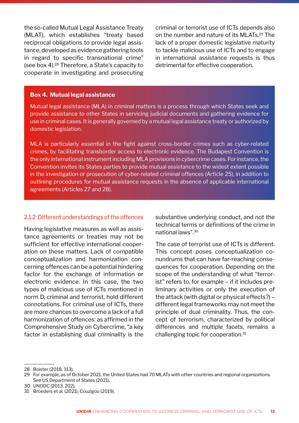the so-called Mutual Legal Assistance Treaty (MLAT), which establishes "treaty based reciprocal obligations to provide legal assistance, developed as evidence gathering tools in regard to specific transnational crime" (see box 4).<sup>28</sup> Therefore, a State's capacity to cooperate in investigating and prosecuting criminal or terrorist use of ICTs depends also on the number and nature of its MLATs.<sup>29</sup> The lack of a proper domestic legislative maturity to tackle malicious use of ICTs and to engage in international assistance requests is thus detrimental for effective cooperation.

#### **Box 4. Mutual legal assistance**

Mutual legal assistance (MLA) in criminal matters is a process through which States seek and provide assistance to other States in servicing judicial documents and gathering evidence for use in criminal cases. It is generally governed by a mutual legal assistance treaty or authorized by domestic legislation.

MLA is particularly essential in the fight against cross-border crimes such as cyber-related crimes, by facilitating transborder access to electronic evidence. The Budapest Convention is the only international instrument including MLA provisions in cybercrime cases. For instance, the Convention invites its States parties to provide mutual assistance to the widest extent possible in the investigation or prosecution of cyber-related criminal offences (Article 25), in addition to outlining procedures for mutual assistance requests in the absence of applicable international agreements (Articles 27 and 28).

#### 2.1.2 Different understandings of the offences

Having legislative measures as well as assistance agreements or treaties may not be sufficient for effective international cooperation on these matters. Lack of compatible conceptualization and harmonization concerning offences can be a potential hindering factor for the exchange of information or electronic evidence. In this case, the two types of malicious use of ICTs mentioned in norm D, criminal and terrorist, hold different connotations. For criminal use of ICTs, there are more chances to overcome a lack of a full harmonization of offences: as affirmed in the Comprehensive Study on Cybercrime, "a key factor in establishing dual criminality is the

substantive underlying conduct, and not the technical terms or definitions of the crime in national laws".30

The case of terrorist use of ICTs is different. This concept poses conceptualization conundrums that can have far-reaching consequences for cooperation. Depending on the scope of the understanding of what "terrorist" refers to, for example – if it includes preliminary activities or only the execution of the attack (with digital or physical effects?) – different legal frameworks may not meet the principle of dual criminality. Thus, the concept of terrorism, characterized by political differences and multiple facets, remains a challenging topic for cooperation.31

<sup>28</sup> Boister (2018, 313).

<sup>29</sup> For example, as of October 2021, the United States had 70 MLATs with other countries and regional organizations. See US Department of States (2021).

<sup>30</sup> UNODC (2013, 202).

<sup>31</sup> Broeders et al. (2021); Couzigou (2019).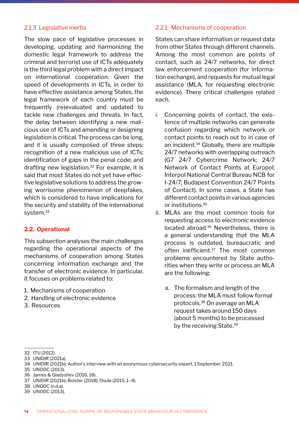#### 2.1.3 Legislative inertia

The slow pace of legislative processes in developing, updating and harmonizing the domestic legal framework to address the criminal and terrorist use of ICTs adequately is the third legal problem with a direct impact on international cooperation. Given the speed of developments in ICTs, in order to have effective assistance among States, the legal framework of each country must be frequently (re)evaluated and updated to tackle new challenges and threats. In fact, the delay between identifying a new malicious use of ICTs and amending or designing legislation is critical. The process can be long, and it is usually composed of three steps: recognition of a new malicious use of ICTs; identification of gaps in the penal code; and drafting new legislation.32 For example, it is said that most States do not yet have effective legislative solutions to address the growing worrisome phenomenon of deepfakes, which is considered to have implications for the security and stability of the international system.<sup>33</sup>

#### **2.2. Operational**

This subsection analyses the main challenges regarding the operational aspects of the mechanisms of cooperation among States concerning information exchange and the transfer of electronic evidence. In particular, it focuses on problems related to:

- 1. Mechanisms of cooperation
- 2. Handling of electronic evidence
- 3. Resources

#### 2.2.1. Mechanisms of cooperation

States can share information or request data from other States through different channels. Among the most common are points of contact, such as 24/7 networks, for direct law enforcement cooperation (for information exchange), and requests for mutual legal assistance (MLA, for requesting electronic evidence). There critical challenges related each.

- i. Concerning points of contact, the existence of multiple networks can generate confusion regarding which network or contact points to reach out to in case of an incident.34 Globally, there are multiple 24/7 networks with overlapping outreach (G7 24/7 Cybercrime Network; 24/7 Network of Contact Points at Europol; Interpol National Central Bureau NCB for I-24/7; Budapest Convention 24/7 Points of Contact). In some cases, a State has different contact points in various agencies or institutions.<sup>35</sup>
- ii. MLAs are the most common tools for requesting access to electronic evidence located abroad.<sup>36</sup> Nevertheless, there is a general understanding that the MLA process is outdated, bureaucratic and often inefficient.<sup>37</sup> The most common problems encountered by State authorities when they write or process an MLA are the following:
	- a. The formalism and length of the process: the MLA must follow formal protocols.38 On average an MLA request takes around 150 days (about 5 months) to be processed by the receiving State.<sup>39</sup>

36 James & Gladyshev (2016, 18).

- 38 UNODC (n.d.a).
- 39 UNODC (2013).

<sup>32</sup> ITU (2012).

<sup>33</sup> UNIDIR (2021a).

<sup>34</sup> UNIDIR (2021b); Author's interview with an anonymous cybersecurity expert, 1 September 2021.

<sup>35</sup> UNODC (2013).

<sup>37</sup> UNIDIR (2021b); Boister (2018); Osula (2015, 1–4).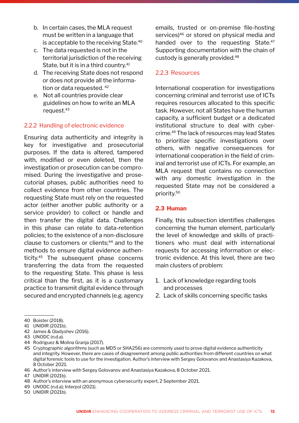- b. In certain cases, the MLA request must be written in a language that is acceptable to the receiving State.40
- c. The data requested is not in the territorial jurisdiction of the receiving State, but it is in a third country.<sup>41</sup>
- d. The receiving State does not respond or does not provide all the information or data requested. 42
- e. Not all countries provide clear guidelines on how to write an MLA request.43

#### 2.2.2 Handling of electronic evidence

Ensuring data authenticity and integrity is key for investigative and prosecutorial purposes. If the data is altered, tampered with, modified or even deleted, then the investigation or prosecution can be compromised. During the investigative and prosecutorial phases, public authorities need to collect evidence from other countries. The requesting State must rely on the requested actor (either another public authority or a service provider) to collect or handle and then transfer the digital data. Challenges in this phase can relate to data-retention policies; to the existence of a non-disclosure clause to customers or clients;<sup>44</sup> and to the methods to ensure digital evidence authenticity.45 The subsequent phase concerns transferring the data from the requested to the requesting State. This phase is less critical than the first, as it is a customary practice to transmit digital evidence through secured and encrypted channels (e.g. agency

emails, trusted or on-premise file-hosting services)<sup>46</sup> or stored on physical media and handed over to the requesting State.<sup>47</sup> Supporting documentation with the chain of custody is generally provided.48

#### 2.2.3 Resources

International cooperation for investigations concerning criminal and terrorist use of ICTs requires resources allocated to this specific task. However, not all States have the human capacity, a sufficient budget or a dedicated institutional structure to deal with cybercrime.49 The lack of resources may lead States to prioritize specific investigations over others, with negative consequences for international cooperation in the field of criminal and terrorist use of ICTs. For example, an MLA request that contains no connection with any domestic investigation in the requested State may not be considered a priority.50

#### **2.3 Human**

Finally, this subsection identifies challenges concerning the human element, particularly the level of knowledge and skills of practitioners who must deal with international requests for accessing information or electronic evidence. At this level, there are two main clusters of problem:

- 1. Lack of knowledge regarding tools and processes
- 2. Lack of skills concerning specific tasks

44 Rodriguez & Molina Granja (2017).

- 48 Author's interview with an anonymous cybersecurity expert, 2 September 2021.
- 49 UNODC (n.d.a); Interpol (2021).
- 50 UNIDIR (2021b).

<sup>40</sup> Boister (2018).

<sup>41</sup> UNIDIR (2021b).

<sup>42</sup> James & Gladyshev (2016).

<sup>43</sup> UNODC (n.d.a).

<sup>45</sup> Cryptographic algorithms (such as MD5 or SHA256) are commonly used to prove digital evidence authenticity and integrity. However, there are cases of disagreement among public authorities from different countries on what digital forensic tools to use for the investigation. Author's interview with Sergey Golovanov and Anastasiya Kazakova, 8 October 2021.

<sup>46</sup> Author's interview with Sergey Golovanov and Anastasiya Kazakova, 8 October 2021.

<sup>47</sup> UNIDIR (2021b).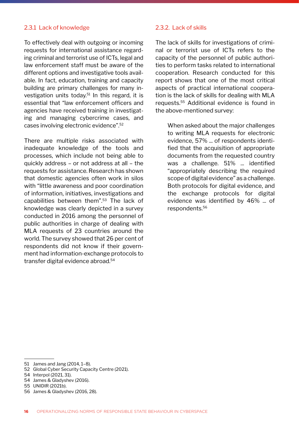#### 2.3.1 Lack of knowledge

To effectively deal with outgoing or incoming requests for international assistance regarding criminal and terrorist use of ICTs, legal and law enforcement staff must be aware of the different options and investigative tools available. In fact, education, training and capacity building are primary challenges for many investigation units today.<sup>51</sup> In this regard, it is essential that "law enforcement officers and agencies have received training in investigating and managing cybercrime cases, and cases involving electronic evidence".52

There are multiple risks associated with inadequate knowledge of the tools and processes, which include not being able to quickly address – or not address at all – the requests for assistance. Research has shown that domestic agencies often work in silos with "little awareness and poor coordination of information, initiatives, investigations and capabilities between them".53 The lack of knowledge was clearly depicted in a survey conducted in 2016 among the personnel of public authorities in charge of dealing with MLA requests of 23 countries around the world. The survey showed that 26 per cent of respondents did not know if their government had information-exchange protocols to transfer digital evidence abroad.54

#### 2.3.2. Lack of skills

The lack of skills for investigations of criminal or terrorist use of ICTs refers to the capacity of the personnel of public authorities to perform tasks related to international cooperation. Research conducted for this report shows that one of the most critical aspects of practical international cooperation is the lack of skills for dealing with MLA requests.55 Additional evidence is found in the above-mentioned survey:

When asked about the major challenges to writing MLA requests for electronic evidence, 57% ... of respondents identified that the acquisition of appropriate documents from the requested country was a challenge. 51% ... identified "appropriately describing the required scope of digital evidence" as a challenge. Both protocols for digital evidence, and the exchange protocols for digital evidence was identified by 46% ... of respondents.56

<sup>51</sup> James and Jang (2014, 1–8).

<sup>52</sup> Global Cyber Security Capacity Centre (2021).

<sup>54</sup> Interpol (2021, 31).

<sup>54</sup> James & Gladyshev (2016).

<sup>55</sup> UNIDIR (2021b).

<sup>56</sup> James & Gladyshev (2016, 28).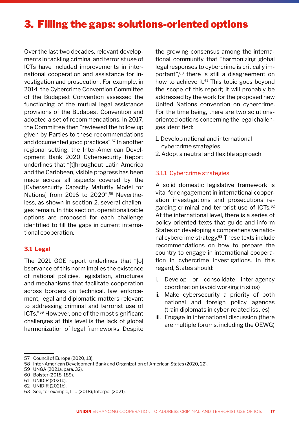### 3. Filling the gaps: solutions-oriented options

Over the last two decades, relevant developments in tackling criminal and terrorist use of ICTs have included improvements in international cooperation and assistance for investigation and prosecution. For example, in 2014, the Cybercrime Convention Committee of the Budapest Convention assessed the functioning of the mutual legal assistance provisions of the Budapest Convention and adopted a set of recommendations. In 2017, the Committee then "reviewed the follow up given by Parties to these recommendations and documented good practices".57 In another regional setting, the Inter-American Development Bank 2020 Cybersecurity Report underlines that "[t]hroughout Latin America and the Caribbean, visible progress has been made across all aspects covered by the [Cybersecurity Capacity Maturity Model for Nations] from 2016 to 2020".58 Nevertheless, as shown in section 2, several challenges remain. In this section, operationalizable options are proposed for each challenge identified to fill the gaps in current international cooperation.

#### **3.1 Legal**

The 2021 GGE report underlines that "[o] bservance of this norm implies the existence of national policies, legislation, structures and mechanisms that facilitate cooperation across borders on technical, law enforcement, legal and diplomatic matters relevant to addressing criminal and terrorist use of ICTs."59 However, one of the most significant challenges at this level is the lack of global harmonization of legal frameworks. Despite

the growing consensus among the international community that "harmonizing global legal responses to cybercrime is critically important",60 there is still a disagreement on how to achieve it.<sup>61</sup> This topic goes beyond the scope of this report; it will probably be addressed by the work for the proposed new United Nations convention on cybercrime. For the time being, there are two solutionsoriented options concerning the legal challenges identified:

- 1. Develop national and international cybercrime strategies
- 2. Adopt a neutral and flexible approach

#### 3.1.1 Cybercrime strategies

A solid domestic legislative framework is vital for engagement in international cooperation investigations and prosecutions regarding criminal and terrorist use of ICTs.<sup>62</sup> At the international level, there is a series of policy-oriented texts that guide and inform States on developing a comprehensive national cybercrime strategy.<sup>63</sup> These texts include recommendations on how to prepare the country to engage in international cooperation in cybercrime investigations. In this regard, States should:

- i. Develop or consolidate inter-agency coordination (avoid working in silos)
- ii. Make cybersecurity a priority of both national and foreign policy agendas (train diplomats in cyber-related issues)
- iii. Engage in international discussion (there are multiple forums, including the OEWG)

61 UNIDIR (2021b).

<sup>57</sup> Council of Europe (2020, 13).

<sup>58</sup> Inter-American Development Bank and Organization of American States (2020, 22).

<sup>59</sup> UNGA (2021a, para. 32).

<sup>60</sup> Boister (2018, 189).

<sup>62</sup> UNIDIR (2021b).

<sup>63</sup> See, for example, ITU (2018); Interpol (2021).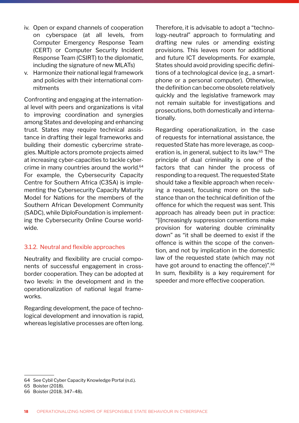- iv. Open or expand channels of cooperation on cyberspace (at all levels, from Computer Emergency Response Team (CERT) or Computer Security Incident Response Team (CSIRT) to the diplomatic, including the signature of new MLATs)
- v. Harmonize their national legal framework and policies with their international commitments

Confronting and engaging at the international level with peers and organizations is vital to improving coordination and synergies among States and developing and enhancing trust. States may require technical assistance in drafting their legal frameworks and building their domestic cybercrime strategies. Multiple actors promote projects aimed at increasing cyber-capacities to tackle cybercrime in many countries around the world.<sup>64</sup> For example, the Cybersecurity Capacity Centre for Southern Africa (C3SA) is implementing the Cybersecurity Capacity Maturity Model for Nations for the members of the Southern African Development Community (SADC), while DiploFoundation is implementing the Cybersecurity Online Course worldwide.

#### 3.1.2. Neutral and flexible approaches

Neutrality and flexibility are crucial components of successful engagement in crossborder cooperation. They can be adopted at two levels: in the development and in the operationalization of national legal frameworks.

Regarding development, the pace of technological development and innovation is rapid, whereas legislative processes are often long.

Therefore, it is advisable to adopt a "technology-neutral" approach to formulating and drafting new rules or amending existing provisions. This leaves room for additional and future ICT developments. For example, States should avoid providing specific definitions of a technological device (e.g., a smartphone or a personal computer). Otherwise, the definition can become obsolete relatively quickly and the legislative framework may not remain suitable for investigations and prosecutions, both domestically and internationally.

Regarding operationalization, in the case of requests for international assistance, the requested State has more leverage, as cooperation is, in general, subject to its law.<sup>65</sup> The principle of dual criminality is one of the factors that can hinder the process of responding to a request. The requested State should take a flexible approach when receiving a request, focusing more on the substance than on the technical definition of the offence for which the request was sent. This approach has already been put in practice: "[i]ncreasingly suppression conventions make provision for watering double criminality down" as "it shall be deemed to exist if the offence is within the scope of the convention, and not by implication in the domestic law of the requested state (which may not have got around to enacting the offence)".<sup>66</sup> In sum, flexibility is a key requirement for speeder and more effective cooperation.

<sup>64</sup> See Cybil Cyber Capacity Knowledge Portal (n.d.).

<sup>65</sup> Boister (2018).

<sup>66</sup> Boister (2018, 347–48).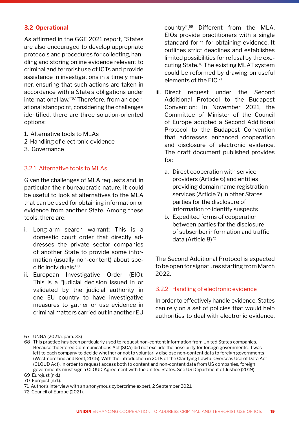#### **3.2 Operational**

As affirmed in the GGE 2021 report, "States are also encouraged to develop appropriate protocols and procedures for collecting, handling and storing online evidence relevant to criminal and terrorist use of ICTs and provide assistance in investigations in a timely manner, ensuring that such actions are taken in accordance with a State's obligations under international law."67 Therefore, from an operational standpoint, considering the challenges identified, there are three solution-oriented options:

- 1. Alternative tools to MLAs
- 2 Handling of electronic evidence
- 3. Governance

#### 3.2.1 Alternative tools to MLAs

Given the challenges of MLA requests and, in particular, their bureaucratic nature, it could be useful to look at alternatives to the MLA that can be used for obtaining information or evidence from another State. Among these tools, there are:

- i. Long-arm search warrant: This is a domestic court order that directly addresses the private sector companies of another State to provide some information (usually non-content) about specific individuals.68
- ii. European Investigative Order (EIO): This is a "judicial decision issued in or validated by the judicial authority in one EU country to have investigative measures to gather or use evidence in criminal matters carried out in another EU

country".69 Different from the MLA, EIOs provide practitioners with a single standard form for obtaining evidence. It outlines strict deadlines and establishes limited possibilities for refusal by the executing State.70 The existing MLAT system could be reformed by drawing on useful elements of the EIO.71

- iii. Direct request under the Second Additional Protocol to the Budapest Convention: In November 2021, the Committee of Minister of the Council of Europe adopted a Second Additional Protocol to the Budapest Convention that addresses enhanced cooperation and disclosure of electronic evidence. The draft document published provides for:
	- a. Direct cooperation with service providers (Article 6) and entities providing domain name registration services (Article 7) in other States parties for the disclosure of information to identify suspects
	- b. Expedited forms of cooperation between parties for the disclosure of subscriber information and traffic data (Article 8)<sup>72</sup>

The Second Additional Protocol is expected to be open for signatures starting from March 2022.

#### 3.2.2. Handling of electronic evidence

In order to effectively handle evidence, States can rely on a set of policies that would help authorities to deal with electronic evidence.

<sup>67</sup> UNGA (2021a, para. 33)

<sup>68</sup> This practice has been particularly used to request non-content information from United States companies. Because the Stored Communications Act (SCA) did not exclude the possibility for foreign governments, it was left to each company to decide whether or not to voluntarily disclose non-content data to foreign governments (Westmoreland and Kent, 2015). With the introduction in 2018 of the Clarifying Lawful Overseas Use of Data Act (CLOUD Act), in order to request access both to content and non-content data from US companies, foreign governments must sign a CLOUD Agreement with the United States. See US Department of Justice (2019)

<sup>69</sup> Eurojust (n.d.)

<sup>70</sup> Eurojust (n.d.).

<sup>71</sup> Author's interview with an anonymous cybercrime expert, 2 September 2021.

<sup>72</sup> Council of Europe (2021).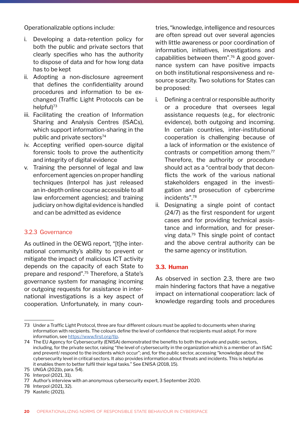Operationalizable options include:

- i. Developing a data-retention policy for both the public and private sectors that clearly specifies who has the authority to dispose of data and for how long data has to be kept
- ii. Adopting a non-disclosure agreement that defines the confidentiality around procedures and information to be exchanged (Traffic Light Protocols can be helpful<sup>73</sup>
- iii. Facilitating the creation of Information Sharing and Analysis Centres (ISACs), which support information-sharing in the public and private sectors<sup>74</sup>
- iv. Accepting verified open-source digital forensic tools to prove the authenticity and integrity of digital evidence
- v. Training the personnel of legal and law enforcement agencies on proper handling techniques (Interpol has just released an in-depth online course accessible to all law enforcement agencies); and training judiciary on how digital evidence is handled and can be admitted as evidence

#### 3.2.3 Governance

As outlined in the OEWG report, "[t]he international community's ability to prevent or mitigate the impact of malicious ICT activity depends on the capacity of each State to prepare and respond".75 Therefore, a State's governance system for managing incoming or outgoing requests for assistance in international investigations is a key aspect of cooperation. Unfortunately, in many countries, "knowledge, intelligence and resources are often spread out over several agencies with little awareness or poor coordination of information, initiatives, investigations and capabilities between them".76 A good governance system can have positive impacts on both institutional responsiveness and resource scarcity. Two solutions for States can be proposed:

- i. Defining a central or responsible authority or a procedure that oversees legal assistance requests (e.g., for electronic evidence), both outgoing and incoming. In certain countries, inter-institutional cooperation is challenging because of a lack of information or the existence of contrasts or competition among them.77 Therefore, the authority or procedure should act as a "central body that deconflicts the work of the various national stakeholders engaged in the investigation and prosecution of cybercrime incidents".78
- ii. Designating a single point of contact (24/7) as the first respondent for urgent cases and for providing technical assistance and information, and for preserving data.79 This single point of contact and the above central authority can be the same agency or institution.

#### **3.3. Human**

As observed in section 2.3, there are two main hindering factors that have a negative impact on international cooperation: lack of knowledge regarding tools and procedures

79 Kastelic (2021).

<sup>73</sup> Under a Traffic Light Protocol, three are four different colours must be applied to documents when sharing information with recipients. The colours define the level of confidence that recipients must adopt. For more information, see <https://www.first.org/tlp>.

<sup>74</sup> The EU Agency for Cybersecurity (ENISA) demonstrated the benefits to both the private and public sectors, including, for the private sector, raising "the level of cybersecurity in the organization which is a member of an ISAC and prevent/ respond to the incidents which occur"; and, for the public sector, accessing "knowledge about the cybersecurity level in critical sectors. It also provides information about threats and incidents. This is helpful as it enables them to better fulfil their legal tasks." See ENISA (2018, 15).

<sup>75</sup> UNGA (2021b, para. 54).

<sup>76</sup> Interpol (2021, 31).

<sup>77</sup> Author's interview with an anonymous cybersecurity expert, 3 September 2020.

<sup>78</sup> Interpol (2021, 32).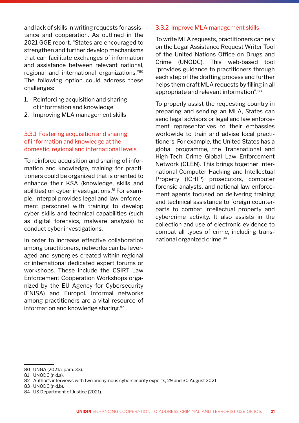and lack of skills in writing requests for assistance and cooperation. As outlined in the 2021 GGE report, "States are encouraged to strengthen and further develop mechanisms that can facilitate exchanges of information and assistance between relevant national, regional and international organizations."80 The following option could address these challenges:

- 1. Reinforcing acquisition and sharing of information and knowledge
- 2. Improving MLA management skills

#### 3.3.1 Fostering acquisition and sharing of information and knowledge at the domestic, regional and international levels

To reinforce acquisition and sharing of information and knowledge, training for practitioners could be organized that is oriented to enhance their KSA (knowledge, skills and abilities) on cyber investigations.<sup>81</sup> For example, Interpol provides legal and law enforcement personnel with training to develop cyber skills and technical capabilities (such as digital forensics, malware analysis) to conduct cyber investigations.

In order to increase effective collaboration among practitioners, networks can be leveraged and synergies created within regional or international dedicated expert forums or workshops. These include the CSIRT–Law Enforcement Cooperation Workshops organized by the EU Agency for Cybersecurity (ENISA) and Europol. Informal networks among practitioners are a vital resource of information and knowledge sharing.<sup>82</sup>

#### 3.3.2 Improve MLA management skills

To write MLA requests, practitioners can rely on the Legal Assistance Request Writer Tool of the United Nations Office on Drugs and Crime (UNODC). This web-based tool "provides guidance to practitioners through each step of the drafting process and further helps them draft MLA requests by filling in all appropriate and relevant information".83

To properly assist the requesting country in preparing and sending an MLA, States can send legal advisors or legal and law enforcement representatives to their embassies worldwide to train and advise local practitioners. For example, the United States has a global programme, the Transnational and High-Tech Crime Global Law Enforcement Network (GLEN). This brings together International Computer Hacking and Intellectual Property (ICHIP) prosecutors, computer forensic analysts, and national law enforcement agents focused on delivering training and technical assistance to foreign counterparts to combat intellectual property and cybercrime activity. It also assists in the collection and use of electronic evidence to combat all types of crime, including transnational organized crime.84

<sup>80</sup> UNGA (2021a, para. 33).

<sup>81</sup> UNODC (n.d.a).

<sup>82</sup> Author's interviews with two anonymous cybersecurity experts, 29 and 30 August 2021.

<sup>83</sup> UNODC (n.d.b).

<sup>84</sup> US Department of Justice (2021).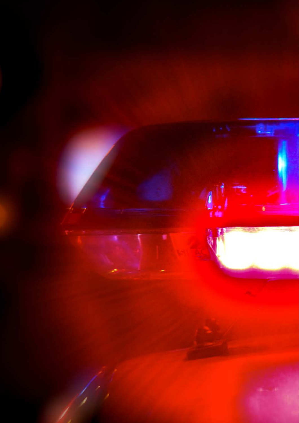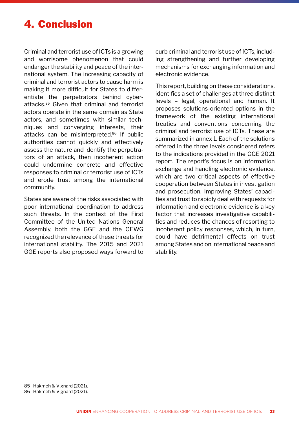### 4. Conclusion

Criminal and terrorist use of ICTs is a growing and worrisome phenomenon that could endanger the stability and peace of the international system. The increasing capacity of criminal and terrorist actors to cause harm is making it more difficult for States to differentiate the perpetrators behind cyberattacks.85 Given that criminal and terrorist actors operate in the same domain as State actors, and sometimes with similar techniques and converging interests, their attacks can be misinterpreted.86 If public authorities cannot quickly and effectively assess the nature and identify the perpetrators of an attack, then incoherent action could undermine concrete and effective responses to criminal or terrorist use of ICTs and erode trust among the international community.

States are aware of the risks associated with poor international coordination to address such threats. In the context of the First Committee of the United Nations General Assembly, both the GGE and the OEWG recognized the relevance of these threats for international stability. The 2015 and 2021 GGE reports also proposed ways forward to curb criminal and terrorist use of ICTs, including strengthening and further developing mechanisms for exchanging information and electronic evidence.

This report, building on these considerations, identifies a set of challenges at three distinct levels – legal, operational and human. It proposes solutions-oriented options in the framework of the existing international treaties and conventions concerning the criminal and terrorist use of ICTs. These are summarized in annex 1. Each of the solutions offered in the three levels considered refers to the indications provided in the GGE 2021 report. The report's focus is on information exchange and handling electronic evidence, which are two critical aspects of effective cooperation between States in investigation and prosecution. Improving States' capacities and trust to rapidly deal with requests for information and electronic evidence is a key factor that increases investigative capabilities and reduces the chances of resorting to incoherent policy responses, which, in turn, could have detrimental effects on trust among States and on international peace and stability.

<sup>85</sup> Hakmeh & Vignard (2021).

<sup>86</sup> Hakmeh & Vignard (2021).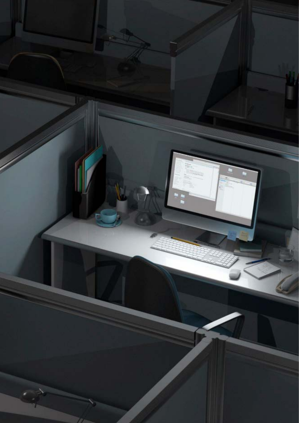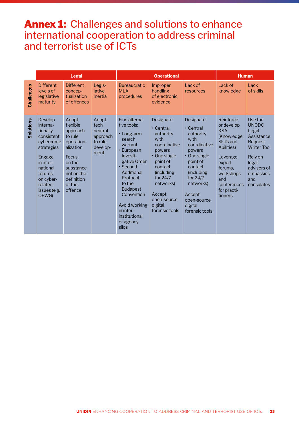### Annex 1: Challenges and solutions to enhance international cooperation to address criminal and terrorist use of ICTs

|                  | <b>Legal</b>                                                                                                                                                            |                                                                                                                                                             |                                                                     | <b>Operational</b>                                                                                                                                                                                                                                                          |                                                                                                                                                                                                                           |                                                                                                                                                                                                                      | <b>Human</b>                                                                                                                                                                   |                                                                                                                                                      |
|------------------|-------------------------------------------------------------------------------------------------------------------------------------------------------------------------|-------------------------------------------------------------------------------------------------------------------------------------------------------------|---------------------------------------------------------------------|-----------------------------------------------------------------------------------------------------------------------------------------------------------------------------------------------------------------------------------------------------------------------------|---------------------------------------------------------------------------------------------------------------------------------------------------------------------------------------------------------------------------|----------------------------------------------------------------------------------------------------------------------------------------------------------------------------------------------------------------------|--------------------------------------------------------------------------------------------------------------------------------------------------------------------------------|------------------------------------------------------------------------------------------------------------------------------------------------------|
| Challenges       | <b>Different</b><br>levels of<br>legislative<br>maturity                                                                                                                | <b>Different</b><br>concep-<br>tualization<br>of offences                                                                                                   | Legis-<br>lative<br>inertia                                         | <b>Bureaucratic</b><br><b>MLA</b><br>procedures                                                                                                                                                                                                                             | Improper<br>handling<br>of electronic<br>evidence                                                                                                                                                                         | Lack of<br>resources                                                                                                                                                                                                 | Lack of<br>knowledge                                                                                                                                                           | Lack<br>of skills                                                                                                                                    |
| <b>Solutions</b> | Develop<br>interna-<br>tionally<br>consistent<br>cybercrime<br>strategies<br>Engage<br>in inter-<br>national<br>forums<br>on cyber-<br>related<br>issues (e.g.<br>OEWG) | Adopt<br>flexible<br>approach<br>to rule<br>operation-<br>alization<br><b>Focus</b><br>on the<br>substance<br>not on the<br>definition<br>of the<br>offence | Adopt<br>tech<br>neutral<br>approach<br>to rule<br>develop-<br>ment | Find alterna-<br>tive tools:<br>$\cdot$ Long-arm<br>search<br>warrant<br>· European<br>Investi-<br>gative Order<br>$\cdot$ Second<br>Additional<br>Protocol<br>to the<br><b>Budapest</b><br>Convention<br>Avoid working<br>in inter-<br>institutional<br>or agency<br>silos | Designate:<br>$\cdot$ Central<br>authority<br>with<br>coordinative<br>powers<br>$\cdot$ One single<br>point of<br>contact<br>(including)<br>for $24/7$<br>networks)<br>Accept<br>open-source<br>digital<br>forensic tools | Designate:<br>· Central<br>authority<br>with<br>coordinative<br>powers<br>· One single<br>point of<br>contact<br><i>(including)</i><br>for $24/7$<br>networks)<br>Accept<br>open-source<br>digital<br>forensic tools | Reinforce<br>or develop<br><b>KSA</b><br>(Knowledge,<br>Skills and<br>Abilities)<br>Leverage<br>expert<br>forums.<br>workshops<br>and<br>conferences<br>for practi-<br>tioners | Use the<br><b>UNODC</b><br>Legal<br>Assistance<br>Reauest<br><b>Writer Tool</b><br>Rely on<br>legal<br>advisors of<br>embassies<br>and<br>consulates |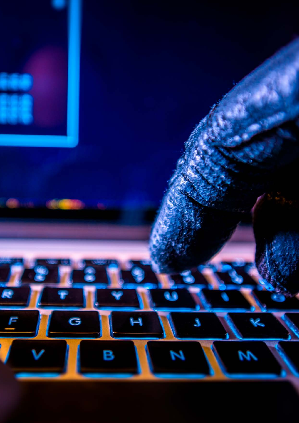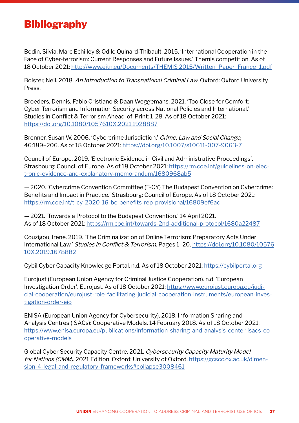### **Bibliography**

Bodin, Silvia, Marc Echilley & Odile Quinard-Thibault. 2015. 'International Cooperation in the Face of Cyber-terrorism: Current Responses and Future Issues.' Themis competition. As of 18 October 2021: [http://www.ejtn.eu/Documents/THEMIS 2015/Written\\_Paper\\_France\\_1.pdf](http://www.ejtn.eu/Documents/THEMIS 2015/Written_Paper_France_1.pdf)

Boister, Neil. 2018. An Introduction to Transnational Criminal Law. Oxford: Oxford University Press.

Broeders, Dennis, Fabio Cristiano & Daan Weggemans. 2021. 'Too Close for Comfort: Cyber Terrorism and Information Security across National Policies and International.' Studies in Conflict & Terrorism Ahead-of-Print: 1-28. As of 18 October 2021: <https://doi.org/10.1080/1057610X.2021.1928887>

Brenner, Susan W. 2006. 'Cybercrime Jurisdiction.' Crime, Law and Social Change, 46:189–206. As of 18 October 2021:<https://doi.org/10.1007/s10611-007-9063-7>

Council of Europe. 2019. 'Electronic Evidence in Civil and Administrative Proceedings'. Strasbourg: Council of Europe. As of 18 October 2021: [https://rm.coe.int/guidelines-on-elec](https://rm.coe.int/guidelines-on-electronic-evidence-and-explanatory-memorandum/1680968ab5)[tronic-evidence-and-explanatory-memorandum/1680968ab5](https://rm.coe.int/guidelines-on-electronic-evidence-and-explanatory-memorandum/1680968ab5) 

— 2020. 'Cybercrime Convention Committee (T-CY) The Budapest Convention on Cybercrime: Benefits and Impact in Practice.' Strasbourg: Council of Europe. As of 18 October 2021: <https://rm.coe.int/t-cy-2020-16-bc-benefits-rep-provisional/16809ef6ac>

— 2021. 'Towards a Protocol to the Budapest Convention.' 14 April 2021. As of 18 October 2021:<https://rm.coe.int/towards-2nd-additional-protocol/1680a22487>

Couzigou, Irene. 2019. 'The Criminalization of Online Terrorism: Preparatory Acts Under International Law.' Studies in Conflict & Terrorism. Pages 1–20. [https://doi.org/10.1080/10576](https://doi.org/10.1080/1057610X.2019.1678882) [10X.2019.1678882](https://doi.org/10.1080/1057610X.2019.1678882)

Cybil Cyber Capacity Knowledge Portal. n.d. As of 18 October 2021:<https://cybilportal.org>

Eurojust (European Union Agency for Criminal Justice Cooperation). n.d. 'European Investigation Order'. Eurojust. As of 18 October 2021: [https://www.eurojust.europa.eu/judi](https://www.eurojust.europa.eu/judicial-cooperation/eurojust-role-facilitating-judicial-cooperation-instruments/european-investigation-order-eio)[cial-cooperation/eurojust-role-facilitating-judicial-cooperation-instruments/european-inves](https://www.eurojust.europa.eu/judicial-cooperation/eurojust-role-facilitating-judicial-cooperation-instruments/european-investigation-order-eio)[tigation-order-eio](https://www.eurojust.europa.eu/judicial-cooperation/eurojust-role-facilitating-judicial-cooperation-instruments/european-investigation-order-eio)

ENISA (European Union Agency for Cybersecurity). 2018. Information Sharing and Analysis Centres (ISACs): Cooperative Models. 14 February 2018. As of 18 October 2021: [https://www.enisa.europa.eu/publications/information-sharing-and-analysis-center-isacs-co](https://www.enisa.europa.eu/publications/information-sharing-and-analysis-center-isacs-cooperative-models)[operative-models](https://www.enisa.europa.eu/publications/information-sharing-and-analysis-center-isacs-cooperative-models)

Global Cyber Security Capacity Centre. 2021. Cybersecurity Capacity Maturity Model for Nations (CMM). 2021 Edition. Oxford: University of Oxford. [https://gcscc.ox.ac.uk/dimen](https://gcscc.ox.ac.uk/dimension-4-legal-and-regulatory-frameworks#collapse3008461)[sion-4-legal-and-regulatory-frameworks#collapse3008461](https://gcscc.ox.ac.uk/dimension-4-legal-and-regulatory-frameworks#collapse3008461)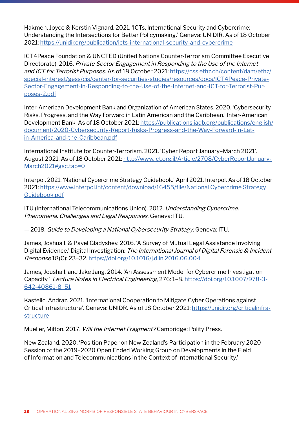Hakmeh, Joyce & Kerstin Vignard. 2021. 'ICTs, International Security and Cybercrime: Understanding the Intersections for Better Policymaking.' Geneva: UNIDIR. As of 18 October 2021: <https://unidir.org/publication/icts-international-security-and-cybercrime>

ICT4Peace Foundation & UNCTED (United Nations Counter-Terrorism Committee Executive Directorate). 2016. Private Sector Engagement in Responding to the Use of the Internet and ICT for Terrorist Purposes. As of 18 October 2021: [https://css.ethz.ch/content/dam/ethz/](https://css.ethz.ch/content/dam/ethz/special-interest/gess/cis/center-for-securities-studies/resources/docs/ICT4Peace-Private-Sector-Engagement-in-Responding-to-the-Use-of-the-Internet-and-ICT-for-Terrorist-Purposes-2.pdf) [special-interest/gess/cis/center-for-securities-studies/resources/docs/ICT4Peace-Private-](https://css.ethz.ch/content/dam/ethz/special-interest/gess/cis/center-for-securities-studies/resources/docs/ICT4Peace-Private-Sector-Engagement-in-Responding-to-the-Use-of-the-Internet-and-ICT-for-Terrorist-Purposes-2.pdf)[Sector-Engagement-in-Responding-to-the-Use-of-the-Internet-and-ICT-for-Terrorist-Pur](https://css.ethz.ch/content/dam/ethz/special-interest/gess/cis/center-for-securities-studies/resources/docs/ICT4Peace-Private-Sector-Engagement-in-Responding-to-the-Use-of-the-Internet-and-ICT-for-Terrorist-Purposes-2.pdf)[poses-2.pdf](https://css.ethz.ch/content/dam/ethz/special-interest/gess/cis/center-for-securities-studies/resources/docs/ICT4Peace-Private-Sector-Engagement-in-Responding-to-the-Use-of-the-Internet-and-ICT-for-Terrorist-Purposes-2.pdf)

Inter-American Development Bank and Organization of American States. 2020. 'Cybersecurity Risks, Progress, and the Way Forward in Latin American and the Caribbean.' Inter-American Development Bank. As of 18 October 2021: [https://publications.iadb.org/publications/english/](https://publications.iadb.org/publications/english/document/2020-Cybersecurity-Report-Risks-Progress-and-the-Way-Forward-in-Latin-America-and-the-Caribbean.pdf) [document/2020-Cybersecurity-Report-Risks-Progress-and-the-Way-Forward-in-Lat](https://publications.iadb.org/publications/english/document/2020-Cybersecurity-Report-Risks-Progress-and-the-Way-Forward-in-Latin-America-and-the-Caribbean.pdf)[in-America-and-the-Caribbean.pdf](https://publications.iadb.org/publications/english/document/2020-Cybersecurity-Report-Risks-Progress-and-the-Way-Forward-in-Latin-America-and-the-Caribbean.pdf)

International Institute for Counter-Terrorism. 2021. 'Cyber Report January–March 2021'. August 2021. As of 18 October 2021: [http://www.ict.org.il/Article/2708/CyberReportJanuary-](http://www.ict.org.il/Article/2708/CyberReportJanuaryMarch2021#gsc.tab=0)[March2021#gsc.tab=0](http://www.ict.org.il/Article/2708/CyberReportJanuaryMarch2021#gsc.tab=0)

Interpol. 2021. 'National Cybercrime Strategy Guidebook.' April 2021. Interpol. As of 18 October 2021: [https://www.interpol.int/content/download/16455/file/National Cybercrime Strategy](https://www.interpol.int/content/download/16455/file/National Cybercrime Strategy Guidebook.pdf)  [Guidebook.pdf](https://www.interpol.int/content/download/16455/file/National Cybercrime Strategy Guidebook.pdf)

ITU (International Telecommunications Union). 2012. Understanding Cybercrime: Phenomena, Challenges and Legal Responses. Geneva: ITU.

— 2018. Guide to Developing a National Cybersecurity Strategy. Geneva: ITU.

James, Joshua I. & Pavel Gladyshev. 2016. 'A Survey of Mutual Legal Assistance Involving Digital Evidence.' Digital Investigation: The International Journal of Digital Forensic & Incident Response 18(C): 23–32. <https://doi.org/10.1016/j.diin.2016.06.004>

James, Jousha I. and Jake Jang. 2014. 'An Assessment Model for Cybercrime Investigation Capacity.' Lecture Notes in Electrical Engineering, 276: 1–8. [https://doi.org/10.1007/978-3-](https://doi.org/10.1007/978-3-642-40861-8_51) [642-40861-8\\_51](https://doi.org/10.1007/978-3-642-40861-8_51)

Kastelic, Andraz. 2021. 'International Cooperation to Mitigate Cyber Operations against Critical Infrastructure'. Geneva: UNIDR. As of 18 October 2021: [https://unidir.org/criticalinfra](https://unidir.org/criticalinfrastructure)[structure](https://unidir.org/criticalinfrastructure)

Mueller, Milton. 2017. Will the Internet Fragment? Cambridge: Polity Press.

New Zealand. 2020. 'Position Paper on New Zealand's Participation in the February 2020 Session of the 2019–2020 Open Ended Working Group on Developments in the Field of Information and Telecommunications in the Context of International Security.'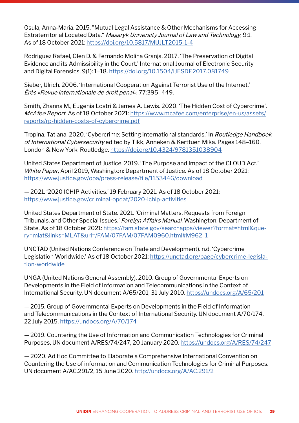Osula, Anna-Maria. 2015. "Mutual Legal Assistance & Other Mechanisms for Accessing Extraterritorial Located Data." Masaryk University Journal of Law and Technology, 9:1. As of 18 October 2021:<https://doi.org/10.5817/MUJLT2015-1-4>

Rodriguez Rafael, Glen D. & Fernando Molina Granja. 2017. 'The Preservation of Digital Evidence and its Admissibility in the Court.' International Journal of Electronic Security and Digital Forensics, 9(1): 1–18.<https://doi.org/10.1504/IJESDF.2017.081749>

Sieber, Ulrich. 2006. 'International Cooperation Against Terrorist Use of the Internet.' Érès «Revue internationale de droit penal», 77:395–449.

Smith, Zhanna M., Eugenia Lostri & James A. Lewis. 2020. 'The Hidden Cost of Cybercrime'. McAfee Report. As of 18 October 2021: [https://www.mcafee.com/enterprise/en-us/assets/](https://www.mcafee.com/enterprise/en-us/assets/reports/rp-hidden-costs-of-cybercrime.pdf) [reports/rp-hidden-costs-of-cybercrime.pdf](https://www.mcafee.com/enterprise/en-us/assets/reports/rp-hidden-costs-of-cybercrime.pdf)

Tropina, Tatiana. 2020. 'Cybercrime: Setting international standards.' In Routledge Handbook of International Cybersecurity edited by Tikk, Anneken & Kerttuen Mika. Pages 148–160. London & New York: Routledge. <https://doi.org/10.4324/9781351038904>

United States Department of Justice. 2019. 'The Purpose and Impact of the CLOUD Act.' White Paper, April 2019, Washington: Department of Justice. As of 18 October 2021: <https://www.justice.gov/opa/press-release/file/1153446/download>

— 2021. '2020 ICHIP Activities.' 19 February 2021. As of 18 October 2021: <https://www.justice.gov/criminal-opdat/2020-ichip-activities>

United States Department of State. 2021. 'Criminal Matters, Requests from Foreign Tribunals, and Other Special Issues.' Foreign Affairs Manual. Washington: Department of State. As of 18 October 2021: [https://fam.state.gov/searchapps/viewer?format=html&que](https://fam.state.gov/searchapps/viewer?format=html&query=mlat&links=MLAT&url=/FAM/07FAM/07FAM0960.h)[ry=mlat&links=MLAT&url=/FAM/07FAM/07FAM0960.html#M962\\_1](https://fam.state.gov/searchapps/viewer?format=html&query=mlat&links=MLAT&url=/FAM/07FAM/07FAM0960.h)

UNCTAD (United Nations Conference on Trade and Development). n.d. 'Cybercrime Legislation Worldwide.' As of 18 October 2021: [https://unctad.org/page/cybercrime-legisla](https://unctad.org/page/cybercrime-legislation-worldwide)[tion-worldwide](https://unctad.org/page/cybercrime-legislation-worldwide)

UNGA (United Nations General Assembly). 2010. Group of Governmental Experts on Developments in the Field of Information and Telecommunications in the Context of International Security. UN document A/65/201, 31 July 2010. <https://undocs.org/A/65/201>

— 2015. Group of Governmental Experts on Developments in the Field of Information and Telecommunications in the Context of International Security. UN document A/70/174, 22 July 2015. <https://undocs.org/A/70/174>

— 2019. Countering the Use of Information and Communication Technologies for Criminal Purposes, UN document A/RES/74/247, 20 January 2020. <https://undocs.org/A/RES/74/247>

— 2020. Ad Hoc Committee to Elaborate a Comprehensive International Convention on Countering the Use of information and Communication Technologies for Criminal Purposes. UN document A/AC.291/2, 15 June 2020.<http://undocs.org/A/AC.291/2>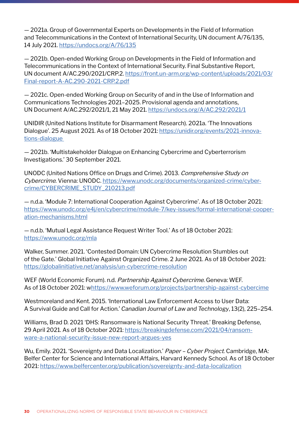— 2021a. Group of Governmental Experts on Developments in the Field of Information and Telecommunications in the Context of International Security, UN document A/76/135, 14 July 2021. <https://undocs.org/A/76/135>

— 2021b. Open-ended Working Group on Developments in the Field of Information and Telecommunications in the Context of International Security. Final Substantive Report, UN document A/AC.290/2021/CRP.2. [https://front.un-arm.org/wp-content/uploads/2021/03/](https://front.un-arm.org/wp-content/uploads/2021/03/Final-report-A-AC.290-2021-CRP.2.pdf) [Final-report-A-AC.290-2021-CRP.2.pdf](https://front.un-arm.org/wp-content/uploads/2021/03/Final-report-A-AC.290-2021-CRP.2.pdf)

— 2021c. Open-ended Working Group on Security of and in the Use of Information and Communications Technologies 2021–2025. Provisional agenda and annotations, UN Document A/AC.292/2021/1, 21 May 2021.<https://undocs.org/A/AC.292/2021/1>

UNIDIR (United Nations Institute for Disarmament Research). 2021a. 'The Innovations Dialogue'. 25 August 2021. As of 18 October 2021: [https://unidir.org/events/2021-innova](https://unidir.org/events/2021-innovations-dialogue)[tions-dialogue](https://unidir.org/events/2021-innovations-dialogue) 

— 2021b. 'Multistakeholder Dialogue on Enhancing Cybercrime and Cyberterrorism Investigations.' 30 September 2021.

UNODC (United Nations Office on Drugs and Crime). 2013. Comprehensive Study on Cybercrime. Vienna: UNODC. [https://www.unodc.org/documents/organized-crime/cyber](https://www.unodc.org/documents/organized-crime/cybercrime/CYBERCRIME_STUDY_210213.pdf)[crime/CYBERCRIME\\_STUDY\\_210213.pdf](https://www.unodc.org/documents/organized-crime/cybercrime/CYBERCRIME_STUDY_210213.pdf)

— n.d.a. 'Module 7: International Cooperation Against Cybercrime'. As of 18 October 2021: [https://www.unodc.org/e4j/en/cybercrime/module-7/key-issues/formal-international-cooper](https://www.unodc.org/e4j/en/cybercrime/module-7/key-issues/formal-international-cooperation-mechani)[ation-mechanisms.html](https://www.unodc.org/e4j/en/cybercrime/module-7/key-issues/formal-international-cooperation-mechani)

— n.d.b. 'Mutual Legal Assistance Request Writer Tool.' As of 18 October 2021: <https://www.unodc.org/mla>

Walker, Summer. 2021. 'Contested Domain: UN Cybercrime Resolution Stumbles out of the Gate.' Global Initiative Against Organized Crime. 2 June 2021. As of 18 October 2021: <https://globalinitiative.net/analysis/un-cybercrime-resolution>

WEF (World Economic Forum). n.d. Partnership Against Cybercrime. Geneva: WEF. As of 18 October 2021: w<https://www.weforum.org/projects/partnership-against-cybercime>

Westmoreland and Kent. 2015. 'International Law Enforcement Access to User Data: A Survival Guide and Call for Action.' *Canadian Journal of Law and Technology*, 13(2), 225–254.

Williams, Brad D. 2021 'DHS: Ransomware is National Security Threat.' Breaking Defense, 29 April 2021. As of 18 October 2021: [https://breakingdefense.com/2021/04/ransom](https://breakingdefense.com/2021/04/ransomware-a-national-security-issue-new-report-argues-yes)[ware-a-national-security-issue-new-report-argues-yes](https://breakingdefense.com/2021/04/ransomware-a-national-security-issue-new-report-argues-yes)

Wu, Emily. 2021. 'Sovereignty and Data Localization.' Paper – Cyber Project. Cambridge, MA: Belfer Center for Science and International Affairs, Harvard Kennedy School. As of 18 October 2021: <https://www.belfercenter.org/publication/sovereignty-and-data-localization>